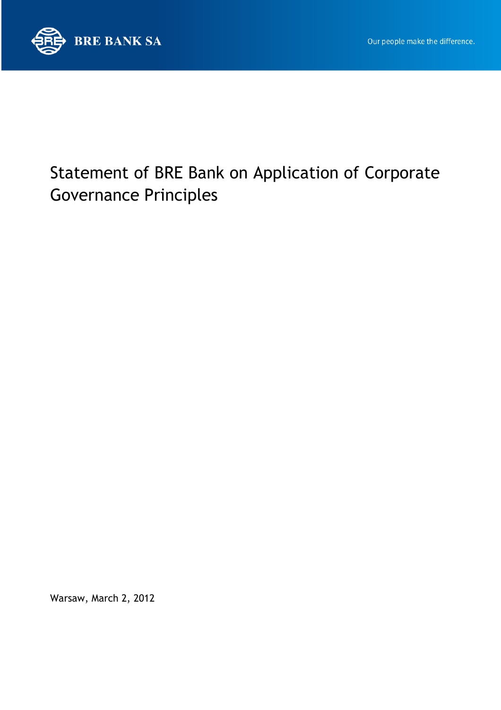

# Statement of BRE Bank on Application of Corporate Governance Principles

Warsaw, March 2, 2012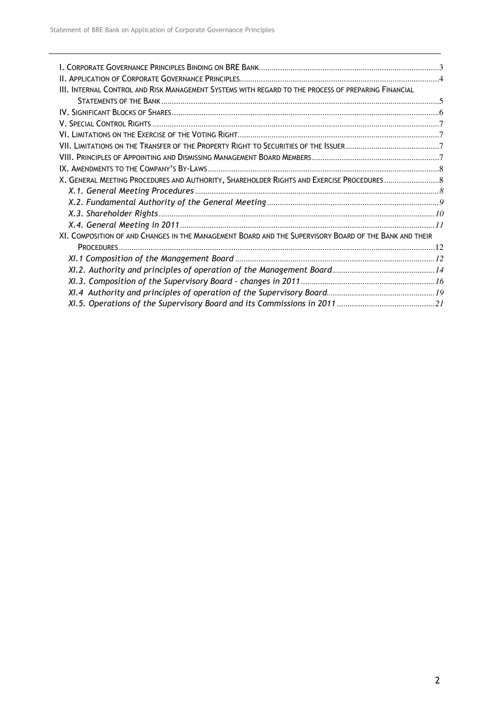| III. INTERNAL CONTROL AND RISK MANAGEMENT SYSTEMS WITH REGARD TO THE PROCESS OF PREPARING FINANCIAL    |  |
|--------------------------------------------------------------------------------------------------------|--|
|                                                                                                        |  |
|                                                                                                        |  |
|                                                                                                        |  |
|                                                                                                        |  |
|                                                                                                        |  |
|                                                                                                        |  |
|                                                                                                        |  |
| X. GENERAL MEETING PROCEDURES AND AUTHORITY, SHAREHOLDER RIGHTS AND EXERCISE PROCEDURES8               |  |
|                                                                                                        |  |
|                                                                                                        |  |
|                                                                                                        |  |
|                                                                                                        |  |
| XI. COMPOSITION OF AND CHANGES IN THE MANAGEMENT BOARD AND THE SUPERVISORY BOARD OF THE BANK AND THEIR |  |
|                                                                                                        |  |
|                                                                                                        |  |
|                                                                                                        |  |
|                                                                                                        |  |
|                                                                                                        |  |
|                                                                                                        |  |
|                                                                                                        |  |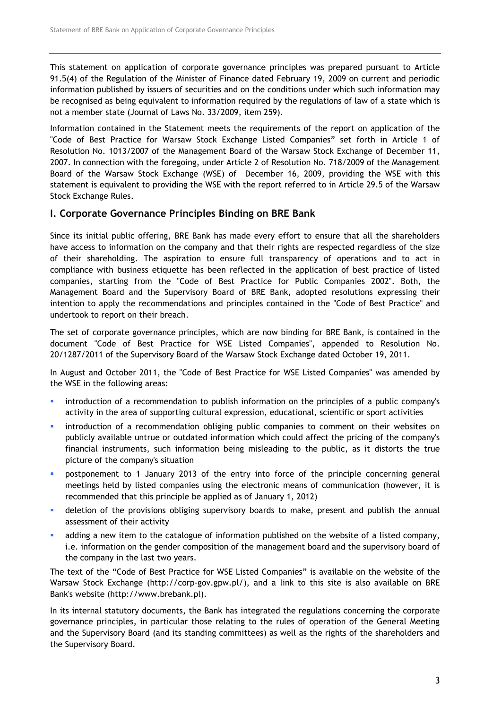This statement on application of corporate governance principles was prepared pursuant to Article 91.5(4) of the Regulation of the Minister of Finance dated February 19, 2009 on current and periodic information published by issuers of securities and on the conditions under which such information may be recognised as being equivalent to information required by the regulations of law of a state which is not a member state (Journal of Laws No. 33/2009, item 259).

Information contained in the Statement meets the requirements of the report on application of the "Code of Best Practice for Warsaw Stock Exchange Listed Companies" set forth in Article 1 of Resolution No. 1013/2007 of the Management Board of the Warsaw Stock Exchange of December 11, 2007. In connection with the foregoing, under Article 2 of Resolution No. 718/2009 of the Management Board of the Warsaw Stock Exchange (WSE) of December 16, 2009, providing the WSE with this statement is equivalent to providing the WSE with the report referred to in Article 29.5 of the Warsaw Stock Exchange Rules.

## I. Corporate Governance Principles Binding on BRE Bank

Since its initial public offering, BRE Bank has made every effort to ensure that all the shareholders have access to information on the company and that their rights are respected regardless of the size of their shareholding. The aspiration to ensure full transparency of operations and to act in compliance with business etiquette has been reflected in the application of best practice of listed companies, starting from the "Code of Best Practice for Public Companies 2002". Both, the Management Board and the Supervisory Board of BRE Bank, adopted resolutions expressing their intention to apply the recommendations and principles contained in the "Code of Best Practice" and undertook to report on their breach.

The set of corporate governance principles, which are now binding for BRE Bank, is contained in the document "Code of Best Practice for WSE Listed Companies", appended to Resolution No. 20/1287/2011 of the Supervisory Board of the Warsaw Stock Exchange dated October 19, 2011.

In August and October 2011, the "Code of Best Practice for WSE Listed Companies" was amended by the WSE in the following areas:

- introduction of a recommendation to publish information on the principles of a public company's activity in the area of supporting cultural expression, educational, scientific or sport activities
- **EXECT** introduction of a recommendation obliging public companies to comment on their websites on publicly available untrue or outdated information which could affect the pricing of the company's financial instruments, such information being misleading to the public, as it distorts the true picture of the company's situation
- postponement to 1 January 2013 of the entry into force of the principle concerning general meetings held by listed companies using the electronic means of communication (however, it is recommended that this principle be applied as of January 1, 2012)
- **•** deletion of the provisions obliging supervisory boards to make, present and publish the annual assessment of their activity
- adding a new item to the catalogue of information published on the website of a listed company, i.e. information on the gender composition of the management board and the supervisory board of the company in the last two years.

The text of the "Code of Best Practice for WSE Listed Companies" is available on the website of the Warsaw Stock Exchange (http://corp-gov.gpw.pl/), and a link to this site is also available on BRE Bank's website (http://www.brebank.pl).

In its internal statutory documents, the Bank has integrated the regulations concerning the corporate governance principles, in particular those relating to the rules of operation of the General Meeting and the Supervisory Board (and its standing committees) as well as the rights of the shareholders and the Supervisory Board.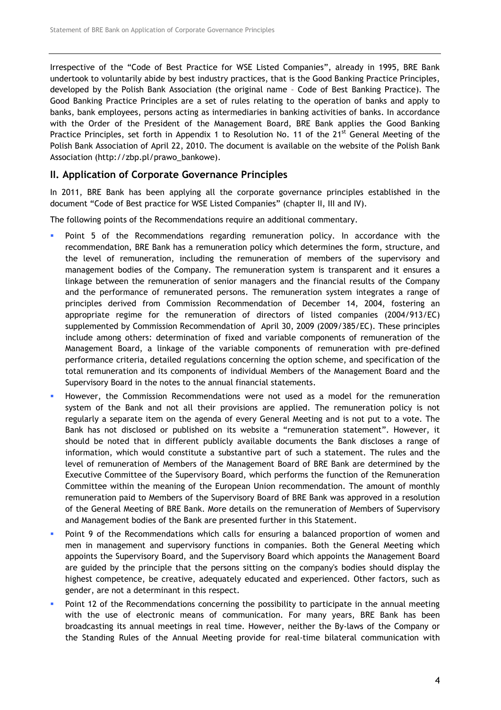Irrespective of the "Code of Best Practice for WSE Listed Companies", already in 1995, BRE Bank undertook to voluntarily abide by best industry practices, that is the Good Banking Practice Principles, developed by the Polish Bank Association (the original name – Code of Best Banking Practice). The Good Banking Practice Principles are a set of rules relating to the operation of banks and apply to banks, bank employees, persons acting as intermediaries in banking activities of banks. In accordance with the Order of the President of the Management Board, BRE Bank applies the Good Banking Practice Principles, set forth in Appendix 1 to Resolution No. 11 of the 21<sup>st</sup> General Meeting of the Polish Bank Association of April 22, 2010. The document is available on the website of the Polish Bank Association (http://zbp.pl/prawo\_bankowe).

### II. Application of Corporate Governance Principles

In 2011, BRE Bank has been applying all the corporate governance principles established in the document "Code of Best practice for WSE Listed Companies" (chapter II, III and IV).

The following points of the Recommendations require an additional commentary.

- Point 5 of the Recommendations regarding remuneration policy. In accordance with the recommendation, BRE Bank has a remuneration policy which determines the form, structure, and the level of remuneration, including the remuneration of members of the supervisory and management bodies of the Company. The remuneration system is transparent and it ensures a linkage between the remuneration of senior managers and the financial results of the Company and the performance of remunerated persons. The remuneration system integrates a range of principles derived from Commission Recommendation of December 14, 2004, fostering an appropriate regime for the remuneration of directors of listed companies (2004/913/EC) supplemented by Commission Recommendation of April 30, 2009 (2009/385/EC). These principles include among others: determination of fixed and variable components of remuneration of the Management Board, a linkage of the variable components of remuneration with pre-defined performance criteria, detailed regulations concerning the option scheme, and specification of the total remuneration and its components of individual Members of the Management Board and the Supervisory Board in the notes to the annual financial statements.
- However, the Commission Recommendations were not used as a model for the remuneration system of the Bank and not all their provisions are applied. The remuneration policy is not regularly a separate item on the agenda of every General Meeting and is not put to a vote. The Bank has not disclosed or published on its website a "remuneration statement". However, it should be noted that in different publicly available documents the Bank discloses a range of information, which would constitute a substantive part of such a statement. The rules and the level of remuneration of Members of the Management Board of BRE Bank are determined by the Executive Committee of the Supervisory Board, which performs the function of the Remuneration Committee within the meaning of the European Union recommendation. The amount of monthly remuneration paid to Members of the Supervisory Board of BRE Bank was approved in a resolution of the General Meeting of BRE Bank. More details on the remuneration of Members of Supervisory and Management bodies of the Bank are presented further in this Statement.
- **Point 9 of the Recommendations which calls for ensuring a balanced proportion of women and** men in management and supervisory functions in companies. Both the General Meeting which appoints the Supervisory Board, and the Supervisory Board which appoints the Management Board are guided by the principle that the persons sitting on the company's bodies should display the highest competence, be creative, adequately educated and experienced. Other factors, such as gender, are not a determinant in this respect.
- Point 12 of the Recommendations concerning the possibility to participate in the annual meeting with the use of electronic means of communication. For many years, BRE Bank has been broadcasting its annual meetings in real time. However, neither the By-laws of the Company or the Standing Rules of the Annual Meeting provide for real-time bilateral communication with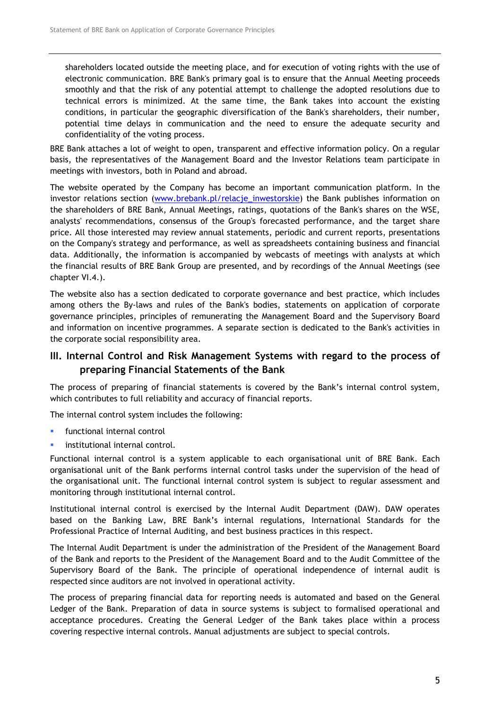shareholders located outside the meeting place, and for execution of voting rights with the use of electronic communication. BRE Bank's primary goal is to ensure that the Annual Meeting proceeds smoothly and that the risk of any potential attempt to challenge the adopted resolutions due to technical errors is minimized. At the same time, the Bank takes into account the existing conditions, in particular the geographic diversification of the Bank's shareholders, their number, potential time delays in communication and the need to ensure the adequate security and confidentiality of the voting process.

BRE Bank attaches a lot of weight to open, transparent and effective information policy. On a regular basis, the representatives of the Management Board and the Investor Relations team participate in meetings with investors, both in Poland and abroad.

The website operated by the Company has become an important communication platform. In the investor relations section (www.brebank.pl/relacje\_inwestorskie) the Bank publishes information on the shareholders of BRE Bank, Annual Meetings, ratings, quotations of the Bank's shares on the WSE, analysts' recommendations, consensus of the Group's forecasted performance, and the target share price. All those interested may review annual statements, periodic and current reports, presentations on the Company's strategy and performance, as well as spreadsheets containing business and financial data. Additionally, the information is accompanied by webcasts of meetings with analysts at which the financial results of BRE Bank Group are presented, and by recordings of the Annual Meetings (see chapter VI.4.).

The website also has a section dedicated to corporate governance and best practice, which includes among others the By-laws and rules of the Bank's bodies, statements on application of corporate governance principles, principles of remunerating the Management Board and the Supervisory Board and information on incentive programmes. A separate section is dedicated to the Bank's activities in the corporate social responsibility area.

# III. Internal Control and Risk Management Systems with regard to the process of preparing Financial Statements of the Bank

The process of preparing of financial statements is covered by the Bank's internal control system, which contributes to full reliability and accuracy of financial reports.

The internal control system includes the following:

- functional internal control
- institutional internal control.

Functional internal control is a system applicable to each organisational unit of BRE Bank. Each organisational unit of the Bank performs internal control tasks under the supervision of the head of the organisational unit. The functional internal control system is subject to regular assessment and monitoring through institutional internal control.

Institutional internal control is exercised by the Internal Audit Department (DAW). DAW operates based on the Banking Law, BRE Bank's internal regulations, International Standards for the Professional Practice of Internal Auditing, and best business practices in this respect.

The Internal Audit Department is under the administration of the President of the Management Board of the Bank and reports to the President of the Management Board and to the Audit Committee of the Supervisory Board of the Bank. The principle of operational independence of internal audit is respected since auditors are not involved in operational activity.

The process of preparing financial data for reporting needs is automated and based on the General Ledger of the Bank. Preparation of data in source systems is subject to formalised operational and acceptance procedures. Creating the General Ledger of the Bank takes place within a process covering respective internal controls. Manual adjustments are subject to special controls.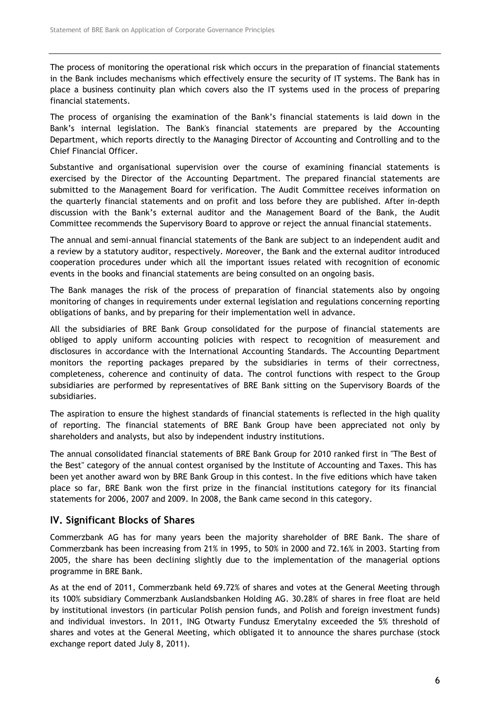The process of monitoring the operational risk which occurs in the preparation of financial statements in the Bank includes mechanisms which effectively ensure the security of IT systems. The Bank has in place a business continuity plan which covers also the IT systems used in the process of preparing financial statements.

The process of organising the examination of the Bank's financial statements is laid down in the Bank's internal legislation. The Bank's financial statements are prepared by the Accounting Department, which reports directly to the Managing Director of Accounting and Controlling and to the Chief Financial Officer.

Substantive and organisational supervision over the course of examining financial statements is exercised by the Director of the Accounting Department. The prepared financial statements are submitted to the Management Board for verification. The Audit Committee receives information on the quarterly financial statements and on profit and loss before they are published. After in-depth discussion with the Bank's external auditor and the Management Board of the Bank, the Audit Committee recommends the Supervisory Board to approve or reject the annual financial statements.

The annual and semi-annual financial statements of the Bank are subject to an independent audit and a review by a statutory auditor, respectively. Moreover, the Bank and the external auditor introduced cooperation procedures under which all the important issues related with recognition of economic events in the books and financial statements are being consulted on an ongoing basis.

The Bank manages the risk of the process of preparation of financial statements also by ongoing monitoring of changes in requirements under external legislation and regulations concerning reporting obligations of banks, and by preparing for their implementation well in advance.

All the subsidiaries of BRE Bank Group consolidated for the purpose of financial statements are obliged to apply uniform accounting policies with respect to recognition of measurement and disclosures in accordance with the International Accounting Standards. The Accounting Department monitors the reporting packages prepared by the subsidiaries in terms of their correctness, completeness, coherence and continuity of data. The control functions with respect to the Group subsidiaries are performed by representatives of BRE Bank sitting on the Supervisory Boards of the subsidiaries.

The aspiration to ensure the highest standards of financial statements is reflected in the high quality of reporting. The financial statements of BRE Bank Group have been appreciated not only by shareholders and analysts, but also by independent industry institutions.

The annual consolidated financial statements of BRE Bank Group for 2010 ranked first in "The Best of the Best" category of the annual contest organised by the Institute of Accounting and Taxes. This has been yet another award won by BRE Bank Group in this contest. In the five editions which have taken place so far, BRE Bank won the first prize in the financial institutions category for its financial statements for 2006, 2007 and 2009. In 2008, the Bank came second in this category.

#### IV. Significant Blocks of Shares

Commerzbank AG has for many years been the majority shareholder of BRE Bank. The share of Commerzbank has been increasing from 21% in 1995, to 50% in 2000 and 72.16% in 2003. Starting from 2005, the share has been declining slightly due to the implementation of the managerial options programme in BRE Bank.

As at the end of 2011, Commerzbank held 69.72% of shares and votes at the General Meeting through its 100% subsidiary Commerzbank Auslandsbanken Holding AG. 30.28% of shares in free float are held by institutional investors (in particular Polish pension funds, and Polish and foreign investment funds) and individual investors. In 2011, ING Otwarty Fundusz Emerytalny exceeded the 5% threshold of shares and votes at the General Meeting, which obligated it to announce the shares purchase (stock exchange report dated July 8, 2011).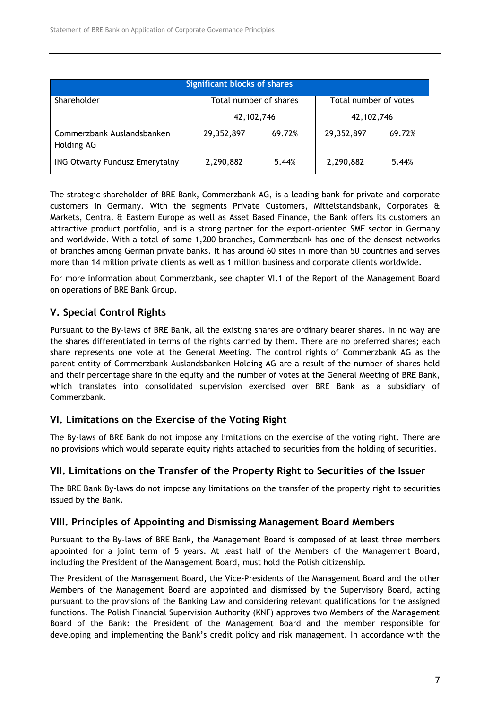| <b>Significant blocks of shares</b>      |                                                 |        |            |        |  |
|------------------------------------------|-------------------------------------------------|--------|------------|--------|--|
| Shareholder                              | Total number of shares<br>Total number of votes |        |            |        |  |
|                                          | 42, 102, 746                                    |        | 42,102,746 |        |  |
| Commerzbank Auslandsbanken<br>Holding AG | 29,352,897                                      | 69.72% | 29,352,897 | 69.72% |  |
| <b>ING Otwarty Fundusz Emerytalny</b>    | 2,290,882                                       | 5.44%  | 2,290,882  | 5.44%  |  |

The strategic shareholder of BRE Bank, Commerzbank AG, is a leading bank for private and corporate customers in Germany. With the segments Private Customers, Mittelstandsbank, Corporates & Markets, Central & Eastern Europe as well as Asset Based Finance, the Bank offers its customers an attractive product portfolio, and is a strong partner for the export-oriented SME sector in Germany and worldwide. With a total of some 1,200 branches, Commerzbank has one of the densest networks of branches among German private banks. It has around 60 sites in more than 50 countries and serves more than 14 million private clients as well as 1 million business and corporate clients worldwide.

For more information about Commerzbank, see chapter VI.1 of the Report of the Management Board on operations of BRE Bank Group.

# V. Special Control Rights

Pursuant to the By-laws of BRE Bank, all the existing shares are ordinary bearer shares. In no way are the shares differentiated in terms of the rights carried by them. There are no preferred shares; each share represents one vote at the General Meeting. The control rights of Commerzbank AG as the parent entity of Commerzbank Auslandsbanken Holding AG are a result of the number of shares held and their percentage share in the equity and the number of votes at the General Meeting of BRE Bank, which translates into consolidated supervision exercised over BRE Bank as a subsidiary of Commerzbank.

# VI. Limitations on the Exercise of the Voting Right

The By-laws of BRE Bank do not impose any limitations on the exercise of the voting right. There are no provisions which would separate equity rights attached to securities from the holding of securities.

# VII. Limitations on the Transfer of the Property Right to Securities of the Issuer

The BRE Bank By-laws do not impose any limitations on the transfer of the property right to securities issued by the Bank.

# VIII. Principles of Appointing and Dismissing Management Board Members

Pursuant to the By-laws of BRE Bank, the Management Board is composed of at least three members appointed for a joint term of 5 years. At least half of the Members of the Management Board, including the President of the Management Board, must hold the Polish citizenship.

The President of the Management Board, the Vice-Presidents of the Management Board and the other Members of the Management Board are appointed and dismissed by the Supervisory Board, acting pursuant to the provisions of the Banking Law and considering relevant qualifications for the assigned functions. The Polish Financial Supervision Authority (KNF) approves two Members of the Management Board of the Bank: the President of the Management Board and the member responsible for developing and implementing the Bank's credit policy and risk management. In accordance with the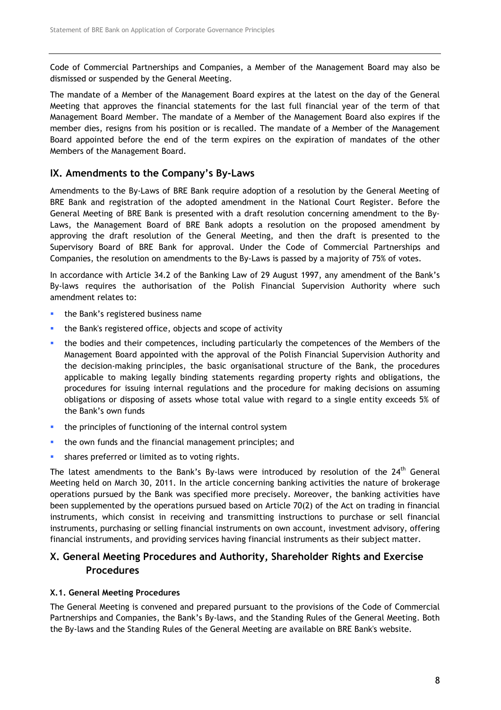Code of Commercial Partnerships and Companies, a Member of the Management Board may also be dismissed or suspended by the General Meeting.

The mandate of a Member of the Management Board expires at the latest on the day of the General Meeting that approves the financial statements for the last full financial year of the term of that Management Board Member. The mandate of a Member of the Management Board also expires if the member dies, resigns from his position or is recalled. The mandate of a Member of the Management Board appointed before the end of the term expires on the expiration of mandates of the other Members of the Management Board.

# IX. Amendments to the Company's By-Laws

Amendments to the By-Laws of BRE Bank require adoption of a resolution by the General Meeting of BRE Bank and registration of the adopted amendment in the National Court Register. Before the General Meeting of BRE Bank is presented with a draft resolution concerning amendment to the By-Laws, the Management Board of BRE Bank adopts a resolution on the proposed amendment by approving the draft resolution of the General Meeting, and then the draft is presented to the Supervisory Board of BRE Bank for approval. Under the Code of Commercial Partnerships and Companies, the resolution on amendments to the By-Laws is passed by a majority of 75% of votes.

In accordance with Article 34.2 of the Banking Law of 29 August 1997, any amendment of the Bank's By-laws requires the authorisation of the Polish Financial Supervision Authority where such amendment relates to:

- **the Bank's registered business name**
- the Bank's registered office, objects and scope of activity
- **the bodies and their competences, including particularly the competences of the Members of the** Management Board appointed with the approval of the Polish Financial Supervision Authority and the decision-making principles, the basic organisational structure of the Bank, the procedures applicable to making legally binding statements regarding property rights and obligations, the procedures for issuing internal regulations and the procedure for making decisions on assuming obligations or disposing of assets whose total value with regard to a single entity exceeds 5% of the Bank's own funds
- the principles of functioning of the internal control system
- **the own funds and the financial management principles; and**
- **shares preferred or limited as to voting rights.**

The latest amendments to the Bank's By-laws were introduced by resolution of the 24<sup>th</sup> General Meeting held on March 30, 2011. In the article concerning banking activities the nature of brokerage operations pursued by the Bank was specified more precisely. Moreover, the banking activities have been supplemented by the operations pursued based on Article 70(2) of the Act on trading in financial instruments, which consist in receiving and transmitting instructions to purchase or sell financial instruments, purchasing or selling financial instruments on own account, investment advisory, offering financial instruments, and providing services having financial instruments as their subject matter.

# X. General Meeting Procedures and Authority, Shareholder Rights and Exercise **Procedures**

## X.1. General Meeting Procedures

The General Meeting is convened and prepared pursuant to the provisions of the Code of Commercial Partnerships and Companies, the Bank's By-laws, and the Standing Rules of the General Meeting. Both the By-laws and the Standing Rules of the General Meeting are available on BRE Bank's website.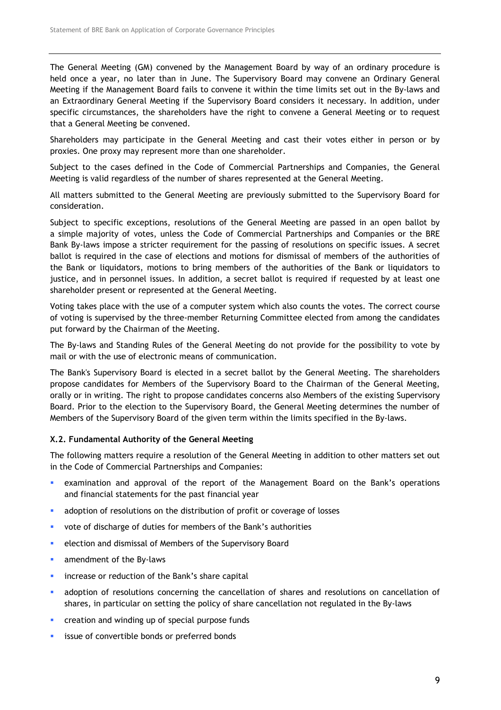The General Meeting (GM) convened by the Management Board by way of an ordinary procedure is held once a year, no later than in June. The Supervisory Board may convene an Ordinary General Meeting if the Management Board fails to convene it within the time limits set out in the By-laws and an Extraordinary General Meeting if the Supervisory Board considers it necessary. In addition, under specific circumstances, the shareholders have the right to convene a General Meeting or to request that a General Meeting be convened.

Shareholders may participate in the General Meeting and cast their votes either in person or by proxies. One proxy may represent more than one shareholder.

Subject to the cases defined in the Code of Commercial Partnerships and Companies, the General Meeting is valid regardless of the number of shares represented at the General Meeting.

All matters submitted to the General Meeting are previously submitted to the Supervisory Board for consideration.

Subject to specific exceptions, resolutions of the General Meeting are passed in an open ballot by a simple majority of votes, unless the Code of Commercial Partnerships and Companies or the BRE Bank By-laws impose a stricter requirement for the passing of resolutions on specific issues. A secret ballot is required in the case of elections and motions for dismissal of members of the authorities of the Bank or liquidators, motions to bring members of the authorities of the Bank or liquidators to justice, and in personnel issues. In addition, a secret ballot is required if requested by at least one shareholder present or represented at the General Meeting.

Voting takes place with the use of a computer system which also counts the votes. The correct course of voting is supervised by the three-member Returning Committee elected from among the candidates put forward by the Chairman of the Meeting.

The By-laws and Standing Rules of the General Meeting do not provide for the possibility to vote by mail or with the use of electronic means of communication.

The Bank's Supervisory Board is elected in a secret ballot by the General Meeting. The shareholders propose candidates for Members of the Supervisory Board to the Chairman of the General Meeting, orally or in writing. The right to propose candidates concerns also Members of the existing Supervisory Board. Prior to the election to the Supervisory Board, the General Meeting determines the number of Members of the Supervisory Board of the given term within the limits specified in the By-laws.

#### X.2. Fundamental Authority of the General Meeting

The following matters require a resolution of the General Meeting in addition to other matters set out in the Code of Commercial Partnerships and Companies:

- examination and approval of the report of the Management Board on the Bank's operations and financial statements for the past financial year
- adoption of resolutions on the distribution of profit or coverage of losses
- vote of discharge of duties for members of the Bank's authorities
- **EXECTE EXECTE FIGHTS** election and dismissal of Members of the Supervisory Board
- **amendment of the By-laws**
- **EXEDENT INCORREGIST IN THE EVALUATE:** increase or reduction of the Bank's share capital
- adoption of resolutions concerning the cancellation of shares and resolutions on cancellation of shares, in particular on setting the policy of share cancellation not regulated in the By-laws
- **•** creation and winding up of special purpose funds
- issue of convertible bonds or preferred bonds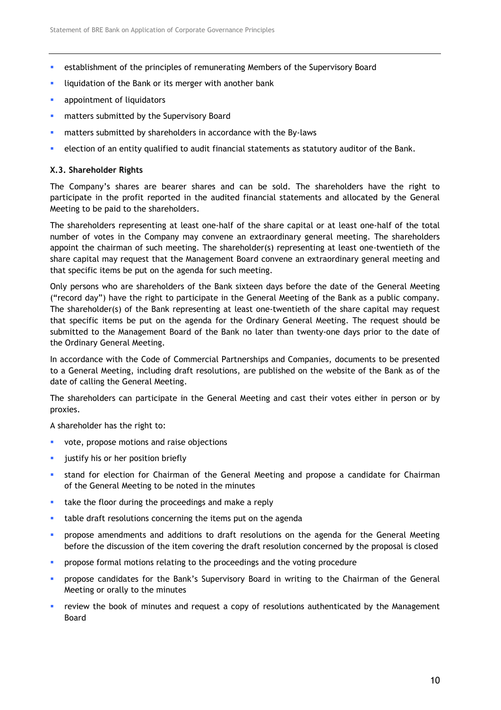- establishment of the principles of remunerating Members of the Supervisory Board
- **In the United Standard Standard Standard Standard Standard Standard Standard Standard Standard Standard Standard Standard Standard Standard Standard Standard Standard Standard Standard Standard Standard Standard Standard**
- **appointment of liquidators**
- **EXEC** matters submitted by the Supervisory Board
- matters submitted by shareholders in accordance with the By-laws
- **EXECT** election of an entity qualified to audit financial statements as statutory auditor of the Bank.

#### X.3. Shareholder Rights

The Company's shares are bearer shares and can be sold. The shareholders have the right to participate in the profit reported in the audited financial statements and allocated by the General Meeting to be paid to the shareholders.

The shareholders representing at least one-half of the share capital or at least one-half of the total number of votes in the Company may convene an extraordinary general meeting. The shareholders appoint the chairman of such meeting. The shareholder(s) representing at least one-twentieth of the share capital may request that the Management Board convene an extraordinary general meeting and that specific items be put on the agenda for such meeting.

Only persons who are shareholders of the Bank sixteen days before the date of the General Meeting ("record day") have the right to participate in the General Meeting of the Bank as a public company. The shareholder(s) of the Bank representing at least one-twentieth of the share capital may request that specific items be put on the agenda for the Ordinary General Meeting. The request should be submitted to the Management Board of the Bank no later than twenty-one days prior to the date of the Ordinary General Meeting.

In accordance with the Code of Commercial Partnerships and Companies, documents to be presented to a General Meeting, including draft resolutions, are published on the website of the Bank as of the date of calling the General Meeting.

The shareholders can participate in the General Meeting and cast their votes either in person or by proxies.

A shareholder has the right to:

- vote, propose motions and raise objections
- **ullet** justify his or her position briefly
- stand for election for Chairman of the General Meeting and propose a candidate for Chairman of the General Meeting to be noted in the minutes
- take the floor during the proceedings and make a reply
- **table draft resolutions concerning the items put on the agenda**
- **•** propose amendments and additions to draft resolutions on the agenda for the General Meeting before the discussion of the item covering the draft resolution concerned by the proposal is closed
- **PEDFO** propose formal motions relating to the proceedings and the voting procedure
- propose candidates for the Bank's Supervisory Board in writing to the Chairman of the General Meeting or orally to the minutes
- review the book of minutes and request a copy of resolutions authenticated by the Management Board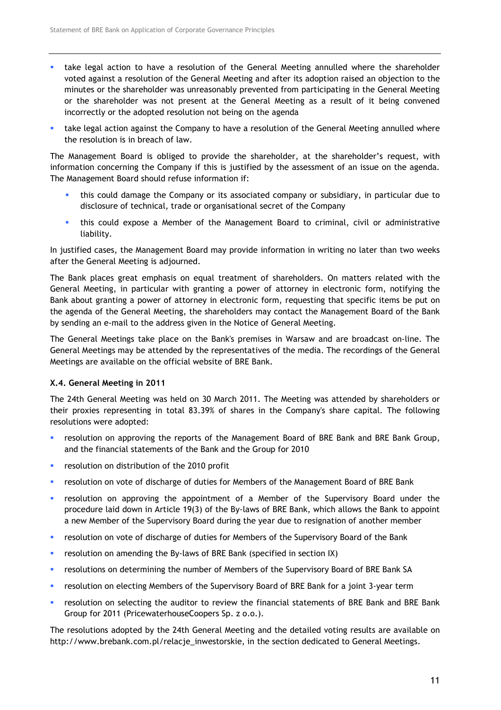- take legal action to have a resolution of the General Meeting annulled where the shareholder voted against a resolution of the General Meeting and after its adoption raised an objection to the minutes or the shareholder was unreasonably prevented from participating in the General Meeting or the shareholder was not present at the General Meeting as a result of it being convened incorrectly or the adopted resolution not being on the agenda
- take legal action against the Company to have a resolution of the General Meeting annulled where the resolution is in breach of law.

The Management Board is obliged to provide the shareholder, at the shareholder's request, with information concerning the Company if this is justified by the assessment of an issue on the agenda. The Management Board should refuse information if:

- this could damage the Company or its associated company or subsidiary, in particular due to disclosure of technical, trade or organisational secret of the Company
- this could expose a Member of the Management Board to criminal, civil or administrative liability.

In justified cases, the Management Board may provide information in writing no later than two weeks after the General Meeting is adjourned.

The Bank places great emphasis on equal treatment of shareholders. On matters related with the General Meeting, in particular with granting a power of attorney in electronic form, notifying the Bank about granting a power of attorney in electronic form, requesting that specific items be put on the agenda of the General Meeting, the shareholders may contact the Management Board of the Bank by sending an e-mail to the address given in the Notice of General Meeting.

The General Meetings take place on the Bank's premises in Warsaw and are broadcast on-line. The General Meetings may be attended by the representatives of the media. The recordings of the General Meetings are available on the official website of BRE Bank.

#### X.4. General Meeting in 2011

The 24th General Meeting was held on 30 March 2011. The Meeting was attended by shareholders or their proxies representing in total 83.39% of shares in the Company's share capital. The following resolutions were adopted:

- **•** resolution on approving the reports of the Management Board of BRE Bank and BRE Bank Group, and the financial statements of the Bank and the Group for 2010
- **•** resolution on distribution of the 2010 profit
- **•** resolution on vote of discharge of duties for Members of the Management Board of BRE Bank
- **•** resolution on approving the appointment of a Member of the Supervisory Board under the procedure laid down in Article 19(3) of the By-laws of BRE Bank, which allows the Bank to appoint a new Member of the Supervisory Board during the year due to resignation of another member
- **•** resolution on vote of discharge of duties for Members of the Supervisory Board of the Bank
- **•** resolution on amending the By-laws of BRE Bank (specified in section IX)
- **•** resolutions on determining the number of Members of the Supervisory Board of BRE Bank SA
- resolution on electing Members of the Supervisory Board of BRE Bank for a joint 3-year term
- resolution on selecting the auditor to review the financial statements of BRE Bank and BRE Bank Group for 2011 (PricewaterhouseCoopers Sp. z o.o.).

The resolutions adopted by the 24th General Meeting and the detailed voting results are available on http://www.brebank.com.pl/relacje\_inwestorskie, in the section dedicated to General Meetings.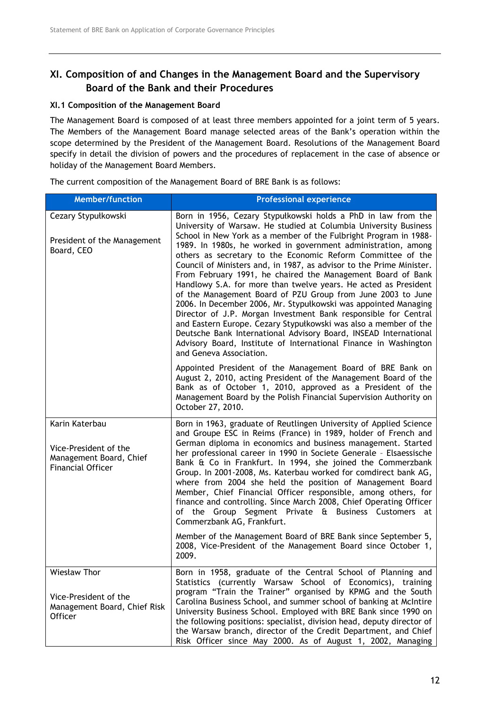# XI. Composition of and Changes in the Management Board and the Supervisory Board of the Bank and their Procedures

# XI.1 Composition of the Management Board

The Management Board is composed of at least three members appointed for a joint term of 5 years. The Members of the Management Board manage selected areas of the Bank's operation within the scope determined by the President of the Management Board. Resolutions of the Management Board specify in detail the division of powers and the procedures of replacement in the case of absence or holiday of the Management Board Members.

The current composition of the Management Board of BRE Bank is as follows:

| <b>Member/function</b>                                                                         | <b>Professional experience</b>                                                                                                                                                                                                                                                                                                                                                                                                                                                                                                                                                                                                                                                                                                                                                                                                                                                                                                                                                              |
|------------------------------------------------------------------------------------------------|---------------------------------------------------------------------------------------------------------------------------------------------------------------------------------------------------------------------------------------------------------------------------------------------------------------------------------------------------------------------------------------------------------------------------------------------------------------------------------------------------------------------------------------------------------------------------------------------------------------------------------------------------------------------------------------------------------------------------------------------------------------------------------------------------------------------------------------------------------------------------------------------------------------------------------------------------------------------------------------------|
| Cezary Stypułkowski<br>President of the Management<br>Board, CEO                               | Born in 1956, Cezary Stypułkowski holds a PhD in law from the<br>University of Warsaw. He studied at Columbia University Business<br>School in New York as a member of the Fulbright Program in 1988-<br>1989. In 1980s, he worked in government administration, among<br>others as secretary to the Economic Reform Committee of the<br>Council of Ministers and, in 1987, as advisor to the Prime Minister.<br>From February 1991, he chaired the Management Board of Bank<br>Handlowy S.A. for more than twelve years. He acted as President<br>of the Management Board of PZU Group from June 2003 to June<br>2006. In December 2006, Mr. Stypułkowski was appointed Managing<br>Director of J.P. Morgan Investment Bank responsible for Central<br>and Eastern Europe. Cezary Stypułkowski was also a member of the<br>Deutsche Bank International Advisory Board, INSEAD International<br>Advisory Board, Institute of International Finance in Washington<br>and Geneva Association. |
|                                                                                                | Appointed President of the Management Board of BRE Bank on<br>August 2, 2010, acting President of the Management Board of the<br>Bank as of October 1, 2010, approved as a President of the<br>Management Board by the Polish Financial Supervision Authority on<br>October 27, 2010.                                                                                                                                                                                                                                                                                                                                                                                                                                                                                                                                                                                                                                                                                                       |
| Karin Katerbau<br>Vice-President of the<br>Management Board, Chief<br><b>Financial Officer</b> | Born in 1963, graduate of Reutlingen University of Applied Science<br>and Groupe ESC in Reims (France) in 1989, holder of French and<br>German diploma in economics and business management. Started<br>her professional career in 1990 in Societe Generale - Elsaessische<br>Bank & Co in Frankfurt. In 1994, she joined the Commerzbank<br>Group. In 2001-2008, Ms. Katerbau worked for comdirect bank AG,<br>where from 2004 she held the position of Management Board<br>Member, Chief Financial Officer responsible, among others, for<br>finance and controlling. Since March 2008, Chief Operating Officer<br>of the Group Segment Private & Business Customers at<br>Commerzbank AG, Frankfurt.<br>Member of the Management Board of BRE Bank since September 5,                                                                                                                                                                                                                    |
|                                                                                                | 2008, Vice-President of the Management Board since October 1,<br>2009.                                                                                                                                                                                                                                                                                                                                                                                                                                                                                                                                                                                                                                                                                                                                                                                                                                                                                                                      |
| Wiesław Thor<br>Vice-President of the<br>Management Board, Chief Risk<br><b>Officer</b>        | Born in 1958, graduate of the Central School of Planning and<br>Statistics (currently Warsaw School of Economics), training<br>program "Train the Trainer" organised by KPMG and the South<br>Carolina Business School, and summer school of banking at McIntire<br>University Business School. Employed with BRE Bank since 1990 on<br>the following positions: specialist, division head, deputy director of<br>the Warsaw branch, director of the Credit Department, and Chief<br>Risk Officer since May 2000. As of August 1, 2002, Managing                                                                                                                                                                                                                                                                                                                                                                                                                                            |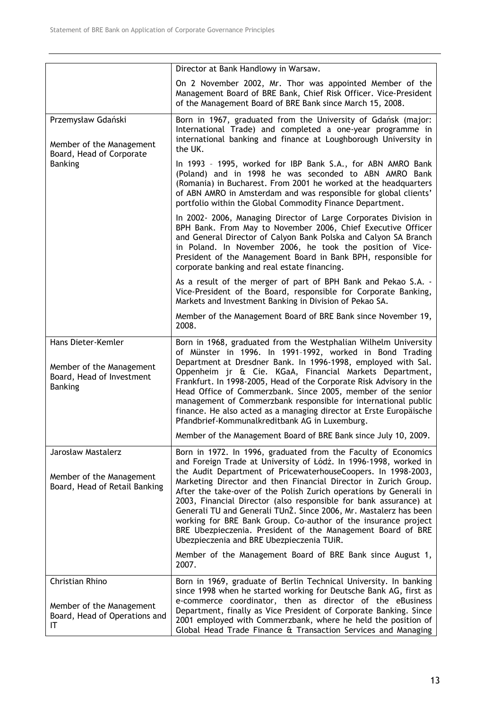|                                                                                               | Director at Bank Handlowy in Warsaw.                                                                                                                                                                                                                                                                                                                                                                                                                                                                                                                                                                                                                                 |  |  |  |  |
|-----------------------------------------------------------------------------------------------|----------------------------------------------------------------------------------------------------------------------------------------------------------------------------------------------------------------------------------------------------------------------------------------------------------------------------------------------------------------------------------------------------------------------------------------------------------------------------------------------------------------------------------------------------------------------------------------------------------------------------------------------------------------------|--|--|--|--|
|                                                                                               | On 2 November 2002, Mr. Thor was appointed Member of the<br>Management Board of BRE Bank, Chief Risk Officer. Vice-President<br>of the Management Board of BRE Bank since March 15, 2008.                                                                                                                                                                                                                                                                                                                                                                                                                                                                            |  |  |  |  |
| Przemysław Gdański<br>Member of the Management<br>Board, Head of Corporate                    | Born in 1967, graduated from the University of Gdańsk (major:<br>International Trade) and completed a one-year programme in<br>international banking and finance at Loughborough University in<br>the UK.                                                                                                                                                                                                                                                                                                                                                                                                                                                            |  |  |  |  |
| <b>Banking</b>                                                                                | In 1993 - 1995, worked for IBP Bank S.A., for ABN AMRO Bank<br>(Poland) and in 1998 he was seconded to ABN AMRO Bank<br>(Romania) in Bucharest. From 2001 he worked at the headquarters<br>of ABN AMRO in Amsterdam and was responsible for global clients'<br>portfolio within the Global Commodity Finance Department.                                                                                                                                                                                                                                                                                                                                             |  |  |  |  |
|                                                                                               | In 2002-2006, Managing Director of Large Corporates Division in<br>BPH Bank. From May to November 2006, Chief Executive Officer<br>and General Director of Calyon Bank Polska and Calyon SA Branch<br>in Poland. In November 2006, he took the position of Vice-<br>President of the Management Board in Bank BPH, responsible for<br>corporate banking and real estate financing.                                                                                                                                                                                                                                                                                   |  |  |  |  |
|                                                                                               | As a result of the merger of part of BPH Bank and Pekao S.A. -<br>Vice-President of the Board, responsible for Corporate Banking,<br>Markets and Investment Banking in Division of Pekao SA.                                                                                                                                                                                                                                                                                                                                                                                                                                                                         |  |  |  |  |
|                                                                                               | Member of the Management Board of BRE Bank since November 19,<br>2008.                                                                                                                                                                                                                                                                                                                                                                                                                                                                                                                                                                                               |  |  |  |  |
| Hans Dieter-Kemler<br>Member of the Management<br>Board, Head of Investment<br><b>Banking</b> | Born in 1968, graduated from the Westphalian Wilhelm University<br>of Münster in 1996. In 1991-1992, worked in Bond Trading<br>Department at Dresdner Bank. In 1996-1998, employed with Sal.<br>Oppenheim jr & Cie. KGaA, Financial Markets Department,<br>Frankfurt. In 1998-2005, Head of the Corporate Risk Advisory in the<br>Head Office of Commerzbank. Since 2005, member of the senior<br>management of Commerzbank responsible for international public<br>finance. He also acted as a managing director at Erste Europäische<br>Pfandbrief-Kommunalkreditbank AG in Luxemburg.                                                                             |  |  |  |  |
|                                                                                               | Member of the Management Board of BRE Bank since July 10, 2009.                                                                                                                                                                                                                                                                                                                                                                                                                                                                                                                                                                                                      |  |  |  |  |
| Jarosław Mastalerz<br>Member of the Management<br>Board, Head of Retail Banking               | Born in 1972. In 1996, graduated from the Faculty of Economics<br>and Foreign Trade at University of Łódź. In 1996-1998, worked in<br>the Audit Department of PricewaterhouseCoopers. In 1998-2003,<br>Marketing Director and then Financial Director in Zurich Group.<br>After the take-over of the Polish Zurich operations by Generali in<br>2003, Financial Director (also responsible for bank assurance) at<br>Generali TU and Generali TUnZ. Since 2006, Mr. Mastalerz has been<br>working for BRE Bank Group. Co-author of the insurance project<br>BRE Ubezpieczenia. President of the Management Board of BRE<br>Ubezpieczenia and BRE Ubezpieczenia TUiR. |  |  |  |  |
|                                                                                               | Member of the Management Board of BRE Bank since August 1,<br>2007.                                                                                                                                                                                                                                                                                                                                                                                                                                                                                                                                                                                                  |  |  |  |  |
| Christian Rhino                                                                               | Born in 1969, graduate of Berlin Technical University. In banking<br>since 1998 when he started working for Deutsche Bank AG, first as                                                                                                                                                                                                                                                                                                                                                                                                                                                                                                                               |  |  |  |  |
| Member of the Management<br>Board, Head of Operations and<br>ΙT                               | e-commerce coordinator, then as director of the eBusiness<br>Department, finally as Vice President of Corporate Banking. Since<br>2001 employed with Commerzbank, where he held the position of<br>Global Head Trade Finance & Transaction Services and Managing                                                                                                                                                                                                                                                                                                                                                                                                     |  |  |  |  |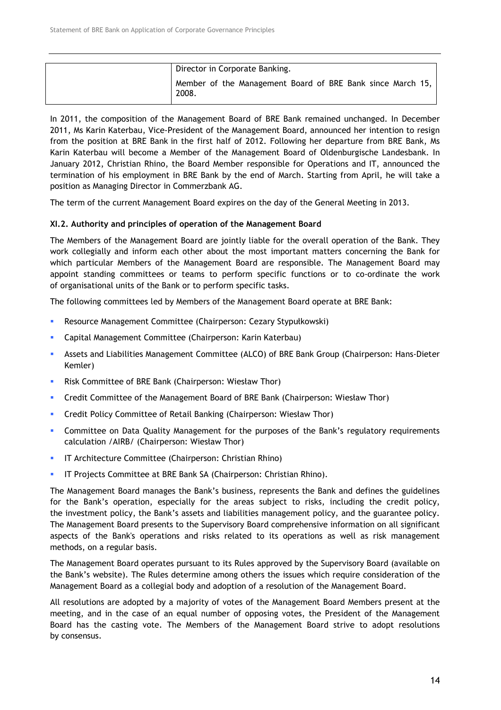| Director in Corporate Banking.                                      |
|---------------------------------------------------------------------|
| Member of the Management Board of BRE Bank since March 15,<br>2008. |

In 2011, the composition of the Management Board of BRE Bank remained unchanged. In December 2011, Ms Karin Katerbau, Vice-President of the Management Board, announced her intention to resign from the position at BRE Bank in the first half of 2012. Following her departure from BRE Bank, Ms Karin Katerbau will become a Member of the Management Board of Oldenburgische Landesbank. In January 2012, Christian Rhino, the Board Member responsible for Operations and IT, announced the termination of his employment in BRE Bank by the end of March. Starting from April, he will take a position as Managing Director in Commerzbank AG.

The term of the current Management Board expires on the day of the General Meeting in 2013.

#### XI.2. Authority and principles of operation of the Management Board

The Members of the Management Board are jointly liable for the overall operation of the Bank. They work collegially and inform each other about the most important matters concerning the Bank for which particular Members of the Management Board are responsible. The Management Board may appoint standing committees or teams to perform specific functions or to co-ordinate the work of organisational units of the Bank or to perform specific tasks.

The following committees led by Members of the Management Board operate at BRE Bank:

- Resource Management Committee (Chairperson: Cezary Stypułkowski)
- Capital Management Committee (Chairperson: Karin Katerbau)
- Assets and Liabilities Management Committee (ALCO) of BRE Bank Group (Chairperson: Hans-Dieter Kemler)
- **Risk Committee of BRE Bank (Chairperson: Wiesław Thor)**
- Credit Committee of the Management Board of BRE Bank (Chairperson: Wiesław Thor)
- Credit Policy Committee of Retail Banking (Chairperson: Wiesław Thor)
- Committee on Data Quality Management for the purposes of the Bank's regulatory requirements calculation /AIRB/ (Chairperson: Wiesław Thor)
- **IF Architecture Committee (Chairperson: Christian Rhino)**
- IT Projects Committee at BRE Bank SA (Chairperson: Christian Rhino).

The Management Board manages the Bank's business, represents the Bank and defines the guidelines for the Bank's operation, especially for the areas subject to risks, including the credit policy, the investment policy, the Bank's assets and liabilities management policy, and the guarantee policy. The Management Board presents to the Supervisory Board comprehensive information on all significant aspects of the Bank's operations and risks related to its operations as well as risk management methods, on a regular basis.

The Management Board operates pursuant to its Rules approved by the Supervisory Board (available on the Bank's website). The Rules determine among others the issues which require consideration of the Management Board as a collegial body and adoption of a resolution of the Management Board.

All resolutions are adopted by a majority of votes of the Management Board Members present at the meeting, and in the case of an equal number of opposing votes, the President of the Management Board has the casting vote. The Members of the Management Board strive to adopt resolutions by consensus.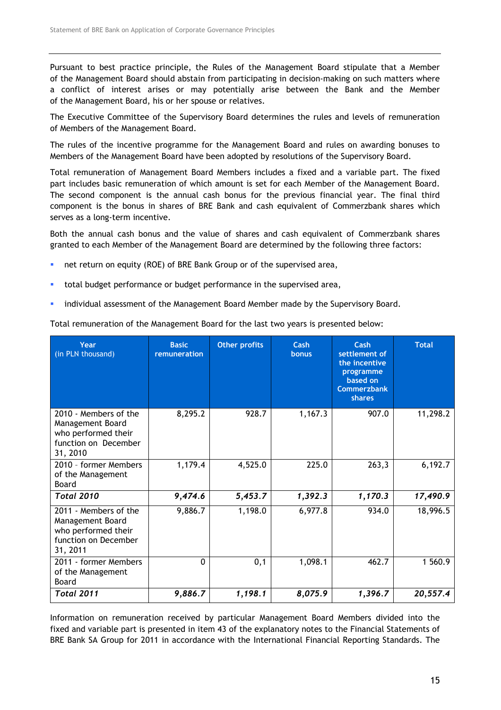Pursuant to best practice principle, the Rules of the Management Board stipulate that a Member of the Management Board should abstain from participating in decision-making on such matters where a conflict of interest arises or may potentially arise between the Bank and the Member of the Management Board, his or her spouse or relatives.

The Executive Committee of the Supervisory Board determines the rules and levels of remuneration of Members of the Management Board.

The rules of the incentive programme for the Management Board and rules on awarding bonuses to Members of the Management Board have been adopted by resolutions of the Supervisory Board.

Total remuneration of Management Board Members includes a fixed and a variable part. The fixed part includes basic remuneration of which amount is set for each Member of the Management Board. The second component is the annual cash bonus for the previous financial year. The final third component is the bonus in shares of BRE Bank and cash equivalent of Commerzbank shares which serves as a long-term incentive.

Both the annual cash bonus and the value of shares and cash equivalent of Commerzbank shares granted to each Member of the Management Board are determined by the following three factors:

- net return on equity (ROE) of BRE Bank Group or of the supervised area,
- total budget performance or budget performance in the supervised area,
- **·** individual assessment of the Management Board Member made by the Supervisory Board.

| Year<br>(in PLN thousand)                                                                            | <b>Basic</b><br>remuneration | <b>Other profits</b> | Cash<br>bonus | Cash<br>settlement of<br>the incentive<br>programme<br>based on<br><b>Commerzbank</b><br><b>shares</b> | <b>Total</b> |
|------------------------------------------------------------------------------------------------------|------------------------------|----------------------|---------------|--------------------------------------------------------------------------------------------------------|--------------|
| 2010 - Members of the<br>Management Board<br>who performed their<br>function on December<br>31, 2010 | 8,295.2                      | 928.7                | 1,167.3       | 907.0                                                                                                  | 11,298.2     |
| 2010 - former Members<br>of the Management<br>Board                                                  | 1,179.4                      | 4,525.0              | 225.0         | 263,3                                                                                                  | 6,192.7      |
| <b>Total 2010</b>                                                                                    | 9,474.6                      | 5,453.7              | 1,392.3       | 1,170.3                                                                                                | 17,490.9     |
| 2011 - Members of the<br>Management Board<br>who performed their<br>function on December<br>31, 2011 | 9,886.7                      | 1,198.0              | 6,977.8       | 934.0                                                                                                  | 18,996.5     |
| 2011 - former Members<br>of the Management<br>Board                                                  | 0                            | 0,1                  | 1,098.1       | 462.7                                                                                                  | 1 560.9      |
| <b>Total 2011</b>                                                                                    | 9,886.7                      | 1,198.1              | 8,075.9       | 1,396.7                                                                                                | 20,557.4     |

Total remuneration of the Management Board for the last two years is presented below:

Information on remuneration received by particular Management Board Members divided into the fixed and variable part is presented in item 43 of the explanatory notes to the Financial Statements of BRE Bank SA Group for 2011 in accordance with the International Financial Reporting Standards. The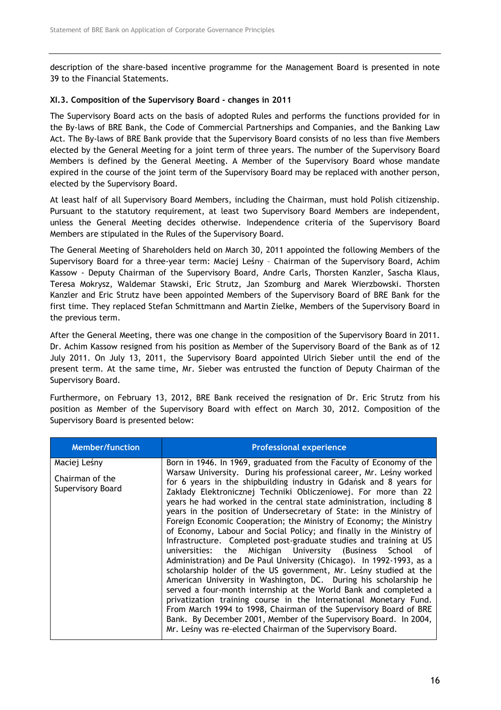description of the share-based incentive programme for the Management Board is presented in note 39 to the Financial Statements.

### XI.3. Composition of the Supervisory Board - changes in 2011

The Supervisory Board acts on the basis of adopted Rules and performs the functions provided for in the By-laws of BRE Bank, the Code of Commercial Partnerships and Companies, and the Banking Law Act. The By-laws of BRE Bank provide that the Supervisory Board consists of no less than five Members elected by the General Meeting for a joint term of three years. The number of the Supervisory Board Members is defined by the General Meeting. A Member of the Supervisory Board whose mandate expired in the course of the joint term of the Supervisory Board may be replaced with another person, elected by the Supervisory Board.

At least half of all Supervisory Board Members, including the Chairman, must hold Polish citizenship. Pursuant to the statutory requirement, at least two Supervisory Board Members are independent, unless the General Meeting decides otherwise. Independence criteria of the Supervisory Board Members are stipulated in the Rules of the Supervisory Board.

The General Meeting of Shareholders held on March 30, 2011 appointed the following Members of the Supervisory Board for a three-year term: Maciej Leśny – Chairman of the Supervisory Board, Achim Kassow - Deputy Chairman of the Supervisory Board, Andre Carls, Thorsten Kanzler, Sascha Klaus, Teresa Mokrysz, Waldemar Stawski, Eric Strutz, Jan Szomburg and Marek Wierzbowski. Thorsten Kanzler and Eric Strutz have been appointed Members of the Supervisory Board of BRE Bank for the first time. They replaced Stefan Schmittmann and Martin Zielke, Members of the Supervisory Board in the previous term.

After the General Meeting, there was one change in the composition of the Supervisory Board in 2011. Dr. Achim Kassow resigned from his position as Member of the Supervisory Board of the Bank as of 12 July 2011. On July 13, 2011, the Supervisory Board appointed Ulrich Sieber until the end of the present term. At the same time, Mr. Sieber was entrusted the function of Deputy Chairman of the Supervisory Board.

Furthermore, on February 13, 2012, BRE Bank received the resignation of Dr. Eric Strutz from his position as Member of the Supervisory Board with effect on March 30, 2012. Composition of the Supervisory Board is presented below:

| <b>Member/function</b>                               | <b>Professional experience</b>                                                                                                                                                                                                                                                                                                                                                                                                                                                                                                                                                                                                                                                                                                                                                                                                                                                                                                                                                                                                                                                  |
|------------------------------------------------------|---------------------------------------------------------------------------------------------------------------------------------------------------------------------------------------------------------------------------------------------------------------------------------------------------------------------------------------------------------------------------------------------------------------------------------------------------------------------------------------------------------------------------------------------------------------------------------------------------------------------------------------------------------------------------------------------------------------------------------------------------------------------------------------------------------------------------------------------------------------------------------------------------------------------------------------------------------------------------------------------------------------------------------------------------------------------------------|
| Maciej Leśny<br>Chairman of the<br>Supervisory Board | Born in 1946. In 1969, graduated from the Faculty of Economy of the<br>Warsaw University. During his professional career, Mr. Leśny worked<br>for 6 years in the shipbuilding industry in Gdańsk and 8 years for<br>Zakłady Elektronicznej Techniki Obliczeniowej. For more than 22<br>years he had worked in the central state administration, including 8<br>years in the position of Undersecretary of State: in the Ministry of<br>Foreign Economic Cooperation; the Ministry of Economy; the Ministry<br>of Economy, Labour and Social Policy; and finally in the Ministry of<br>Infrastructure. Completed post-graduate studies and training at US<br>universities: the Michigan University (Business School of<br>Administration) and De Paul University (Chicago). In 1992-1993, as a<br>scholarship holder of the US government, Mr. Lesny studied at the<br>American University in Washington, DC. During his scholarship he<br>served a four-month internship at the World Bank and completed a<br>privatization training course in the International Monetary Fund. |
|                                                      | From March 1994 to 1998, Chairman of the Supervisory Board of BRE<br>Bank. By December 2001, Member of the Supervisory Board. In 2004,<br>Mr. Leśny was re-elected Chairman of the Supervisory Board.                                                                                                                                                                                                                                                                                                                                                                                                                                                                                                                                                                                                                                                                                                                                                                                                                                                                           |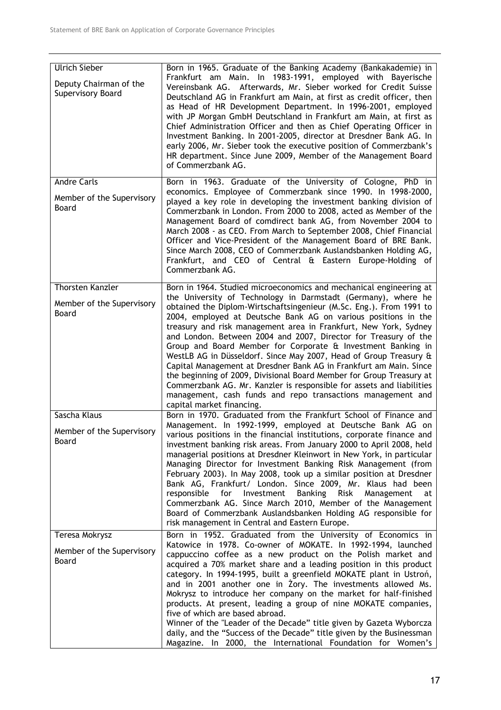| <b>Ulrich Sieber</b><br>Deputy Chairman of the<br>Supervisory Board | Born in 1965. Graduate of the Banking Academy (Bankakademie) in<br>Frankfurt am Main. In 1983-1991, employed with Bayerische<br>Vereinsbank AG. Afterwards, Mr. Sieber worked for Credit Suisse<br>Deutschland AG in Frankfurt am Main, at first as credit officer, then<br>as Head of HR Development Department. In 1996-2001, employed<br>with JP Morgan GmbH Deutschland in Frankfurt am Main, at first as<br>Chief Administration Officer and then as Chief Operating Officer in<br>Investment Banking. In 2001-2005, director at Dresdner Bank AG. In<br>early 2006, Mr. Sieber took the executive position of Commerzbank's<br>HR department. Since June 2009, Member of the Management Board<br>of Commerzbank AG.                                                                                                                                                   |
|---------------------------------------------------------------------|-----------------------------------------------------------------------------------------------------------------------------------------------------------------------------------------------------------------------------------------------------------------------------------------------------------------------------------------------------------------------------------------------------------------------------------------------------------------------------------------------------------------------------------------------------------------------------------------------------------------------------------------------------------------------------------------------------------------------------------------------------------------------------------------------------------------------------------------------------------------------------|
| <b>Andre Carls</b><br>Member of the Supervisory<br>Board            | Born in 1963. Graduate of the University of Cologne, PhD in<br>economics. Employee of Commerzbank since 1990. In 1998-2000,<br>played a key role in developing the investment banking division of<br>Commerzbank in London. From 2000 to 2008, acted as Member of the<br>Management Board of comdirect bank AG, from November 2004 to<br>March 2008 - as CEO. From March to September 2008, Chief Financial<br>Officer and Vice-President of the Management Board of BRE Bank.<br>Since March 2008, CEO of Commerzbank Auslandsbanken Holding AG,<br>Frankfurt, and CEO of Central & Eastern Europe-Holding of<br>Commerzbank AG.                                                                                                                                                                                                                                           |
| <b>Thorsten Kanzler</b><br>Member of the Supervisory<br>Board       | Born in 1964. Studied microeconomics and mechanical engineering at<br>the University of Technology in Darmstadt (Germany), where he<br>obtained the Diplom-Wirtschaftsingenieur (M.Sc. Eng.). From 1991 to<br>2004, employed at Deutsche Bank AG on various positions in the<br>treasury and risk management area in Frankfurt, New York, Sydney<br>and London. Between 2004 and 2007, Director for Treasury of the<br>Group and Board Member for Corporate & Investment Banking in<br>WestLB AG in Düsseldorf. Since May 2007, Head of Group Treasury &<br>Capital Management at Dresdner Bank AG in Frankfurt am Main. Since<br>the beginning of 2009, Divisional Board Member for Group Treasury at<br>Commerzbank AG. Mr. Kanzler is responsible for assets and liabilities<br>management, cash funds and repo transactions management and<br>capital market financing. |
| Sascha Klaus<br>Member of the Supervisory<br>Board                  | Born in 1970. Graduated from the Frankfurt School of Finance and<br>Management. In 1992-1999, employed at Deutsche Bank AG on<br>various positions in the financial institutions, corporate finance and<br>investment banking risk areas. From January 2000 to April 2008, held<br>managerial positions at Dresdner Kleinwort in New York, in particular<br>Managing Director for Investment Banking Risk Management (from<br>February 2003). In May 2008, took up a similar position at Dresdner<br>Bank AG, Frankfurt/ London. Since 2009, Mr. Klaus had been<br>Banking<br>Risk<br>responsible<br>for Investment<br>Management<br>at<br>Commerzbank AG. Since March 2010, Member of the Management<br>Board of Commerzbank Auslandsbanken Holding AG responsible for<br>risk management in Central and Eastern Europe.                                                   |
| Teresa Mokrysz<br>Member of the Supervisory<br>Board                | Born in 1952. Graduated from the University of Economics in<br>Katowice in 1978. Co-owner of MOKATE. In 1992-1994, launched<br>cappuccino coffee as a new product on the Polish market and<br>acquired a 70% market share and a leading position in this product<br>category. In 1994-1995, built a greenfield MOKATE plant in Ustroń,<br>and in 2001 another one in Zory. The investments allowed Ms.<br>Mokrysz to introduce her company on the market for half-finished<br>products. At present, leading a group of nine MOKATE companies,<br>five of which are based abroad.<br>Winner of the "Leader of the Decade" title given by Gazeta Wyborcza<br>daily, and the "Success of the Decade" title given by the Businessman<br>Magazine. In 2000, the International Foundation for Women's                                                                             |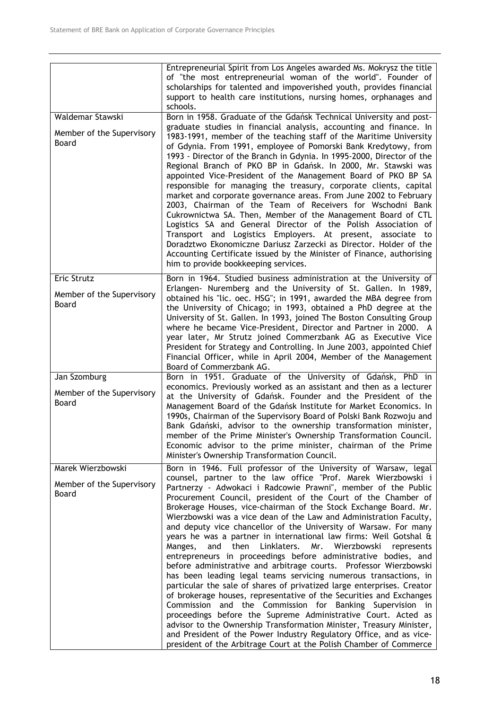| Waldemar Stawski<br>Member of the Supervisory<br>Board         | Entrepreneurial Spirit from Los Angeles awarded Ms. Mokrysz the title<br>of "the most entrepreneurial woman of the world". Founder of<br>scholarships for talented and impoverished youth, provides financial<br>support to health care institutions, nursing homes, orphanages and<br>schools.<br>Born in 1958. Graduate of the Gdańsk Technical University and post-<br>graduate studies in financial analysis, accounting and finance. In<br>1983-1991, member of the teaching staff of the Maritime University<br>of Gdynia. From 1991, employee of Pomorski Bank Kredytowy, from<br>1993 - Director of the Branch in Gdynia. In 1995-2000, Director of the<br>Regional Branch of PKO BP in Gdańsk. In 2000, Mr. Stawski was<br>appointed Vice-President of the Management Board of PKO BP SA<br>responsible for managing the treasury, corporate clients, capital<br>market and corporate governance areas. From June 2002 to February<br>2003, Chairman of the Team of Receivers for Wschodni Bank<br>Cukrownictwa SA. Then, Member of the Management Board of CTL<br>Logistics SA and General Director of the Polish Association of                                                                                                                                                                                                       |
|----------------------------------------------------------------|--------------------------------------------------------------------------------------------------------------------------------------------------------------------------------------------------------------------------------------------------------------------------------------------------------------------------------------------------------------------------------------------------------------------------------------------------------------------------------------------------------------------------------------------------------------------------------------------------------------------------------------------------------------------------------------------------------------------------------------------------------------------------------------------------------------------------------------------------------------------------------------------------------------------------------------------------------------------------------------------------------------------------------------------------------------------------------------------------------------------------------------------------------------------------------------------------------------------------------------------------------------------------------------------------------------------------------------------------|
|                                                                | Transport and Logistics Employers. At present, associate to<br>Doradztwo Ekonomiczne Dariusz Zarzecki as Director. Holder of the<br>Accounting Certificate issued by the Minister of Finance, authorising<br>him to provide bookkeeping services.                                                                                                                                                                                                                                                                                                                                                                                                                                                                                                                                                                                                                                                                                                                                                                                                                                                                                                                                                                                                                                                                                                |
| Eric Strutz<br>Member of the Supervisory<br><b>Board</b>       | Born in 1964. Studied business administration at the University of<br>Erlangen- Nuremberg and the University of St. Gallen. In 1989,<br>obtained his "lic. oec. HSG"; in 1991, awarded the MBA degree from<br>the University of Chicago; in 1993, obtained a PhD degree at the<br>University of St. Gallen. In 1993, joined The Boston Consulting Group<br>where he became Vice-President, Director and Partner in 2000. A<br>year later, Mr Strutz joined Commerzbank AG as Executive Vice<br>President for Strategy and Controlling. In June 2003, appointed Chief<br>Financial Officer, while in April 2004, Member of the Management<br>Board of Commerzbank AG.                                                                                                                                                                                                                                                                                                                                                                                                                                                                                                                                                                                                                                                                             |
| Jan Szomburg<br>Member of the Supervisory<br>Board             | Born in 1951. Graduate of the University of Gdańsk, PhD in<br>economics. Previously worked as an assistant and then as a lecturer<br>at the University of Gdańsk. Founder and the President of the<br>Management Board of the Gdańsk Institute for Market Economics. In<br>1990s, Chairman of the Supervisory Board of Polski Bank Rozwoju and<br>Bank Gdański, advisor to the ownership transformation minister,<br>member of the Prime Minister's Ownership Transformation Council.<br>Economic advisor to the prime minister, chairman of the Prime<br>Minister's Ownership Transformation Council.                                                                                                                                                                                                                                                                                                                                                                                                                                                                                                                                                                                                                                                                                                                                           |
| Marek Wierzbowski<br>Member of the Supervisory<br><b>Board</b> | Born in 1946. Full professor of the University of Warsaw, legal<br>counsel, partner to the law office "Prof. Marek Wierzbowski i<br>Partnerzy - Adwokaci i Radcowie Prawni", member of the Public<br>Procurement Council, president of the Court of the Chamber of<br>Brokerage Houses, vice-chairman of the Stock Exchange Board. Mr.<br>Wierzbowski was a vice dean of the Law and Administration Faculty,<br>and deputy vice chancellor of the University of Warsaw. For many<br>years he was a partner in international law firms: Weil Gotshal &<br>Manges,<br>and<br>then<br>Linklaters.<br>Mr.<br>Wierzbowski<br>represents<br>entrepreneurs in proceedings before administrative bodies, and<br>before administrative and arbitrage courts. Professor Wierzbowski<br>has been leading legal teams servicing numerous transactions, in<br>particular the sale of shares of privatized large enterprises. Creator<br>of brokerage houses, representative of the Securities and Exchanges<br>Commission and the Commission for Banking Supervision in<br>proceedings before the Supreme Administrative Court. Acted as<br>advisor to the Ownership Transformation Minister, Treasury Minister,<br>and President of the Power Industry Regulatory Office, and as vice-<br>president of the Arbitrage Court at the Polish Chamber of Commerce |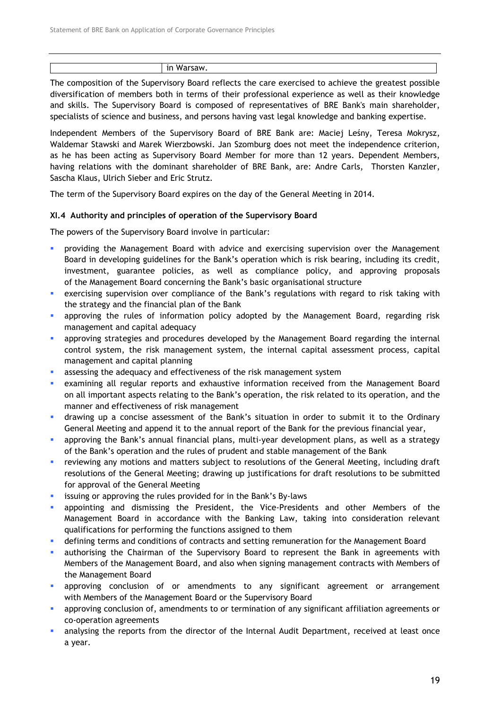| ın<br>w<br>עו |
|---------------|

The composition of the Supervisory Board reflects the care exercised to achieve the greatest possible diversification of members both in terms of their professional experience as well as their knowledge and skills. The Supervisory Board is composed of representatives of BRE Bank's main shareholder, specialists of science and business, and persons having vast legal knowledge and banking expertise.

Independent Members of the Supervisory Board of BRE Bank are: Maciej Leśny, Teresa Mokrysz, Waldemar Stawski and Marek Wierzbowski. Jan Szomburg does not meet the independence criterion, as he has been acting as Supervisory Board Member for more than 12 years. Dependent Members, having relations with the dominant shareholder of BRE Bank, are: Andre Carls, Thorsten Kanzler, Sascha Klaus, Ulrich Sieber and Eric Strutz.

The term of the Supervisory Board expires on the day of the General Meeting in 2014.

#### XI.4 Authority and principles of operation of the Supervisory Board

The powers of the Supervisory Board involve in particular:

- providing the Management Board with advice and exercising supervision over the Management Board in developing guidelines for the Bank's operation which is risk bearing, including its credit, investment, guarantee policies, as well as compliance policy, and approving proposals of the Management Board concerning the Bank's basic organisational structure
- exercising supervision over compliance of the Bank's regulations with regard to risk taking with the strategy and the financial plan of the Bank
- approving the rules of information policy adopted by the Management Board, regarding risk management and capital adequacy
- approving strategies and procedures developed by the Management Board regarding the internal control system, the risk management system, the internal capital assessment process, capital management and capital planning
- assessing the adequacy and effectiveness of the risk management system
- examining all regular reports and exhaustive information received from the Management Board on all important aspects relating to the Bank's operation, the risk related to its operation, and the manner and effectiveness of risk management
- drawing up a concise assessment of the Bank's situation in order to submit it to the Ordinary General Meeting and append it to the annual report of the Bank for the previous financial year,
- approving the Bank's annual financial plans, multi-year development plans, as well as a strategy of the Bank's operation and the rules of prudent and stable management of the Bank
- reviewing any motions and matters subject to resolutions of the General Meeting, including draft resolutions of the General Meeting; drawing up justifications for draft resolutions to be submitted for approval of the General Meeting
- **EXECT** issuing or approving the rules provided for in the Bank's By-laws
- appointing and dismissing the President, the Vice-Presidents and other Members of the Management Board in accordance with the Banking Law, taking into consideration relevant qualifications for performing the functions assigned to them
- defining terms and conditions of contracts and setting remuneration for the Management Board
- authorising the Chairman of the Supervisory Board to represent the Bank in agreements with Members of the Management Board, and also when signing management contracts with Members of the Management Board
- approving conclusion of or amendments to any significant agreement or arrangement with Members of the Management Board or the Supervisory Board
- approving conclusion of, amendments to or termination of any significant affiliation agreements or co-operation agreements
- analysing the reports from the director of the Internal Audit Department, received at least once a year.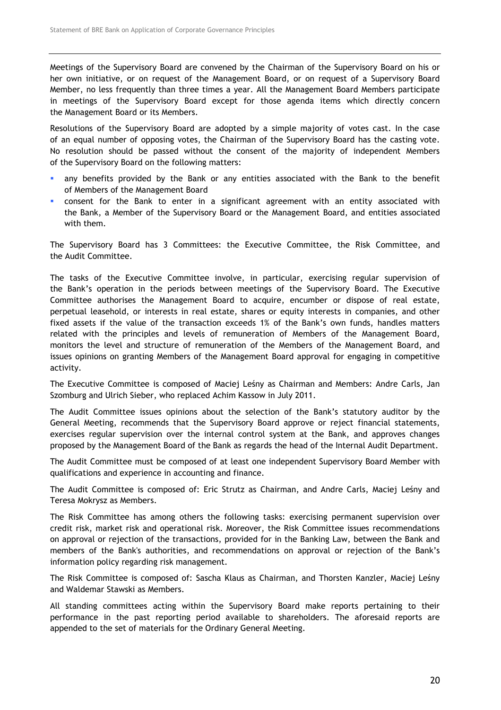Meetings of the Supervisory Board are convened by the Chairman of the Supervisory Board on his or her own initiative, or on request of the Management Board, or on request of a Supervisory Board Member, no less frequently than three times a year. All the Management Board Members participate in meetings of the Supervisory Board except for those agenda items which directly concern the Management Board or its Members.

Resolutions of the Supervisory Board are adopted by a simple majority of votes cast. In the case of an equal number of opposing votes, the Chairman of the Supervisory Board has the casting vote. No resolution should be passed without the consent of the majority of independent Members of the Supervisory Board on the following matters:

- any benefits provided by the Bank or any entities associated with the Bank to the benefit of Members of the Management Board
- consent for the Bank to enter in a significant agreement with an entity associated with the Bank, a Member of the Supervisory Board or the Management Board, and entities associated with them.

The Supervisory Board has 3 Committees: the Executive Committee, the Risk Committee, and the Audit Committee.

The tasks of the Executive Committee involve, in particular, exercising regular supervision of the Bank's operation in the periods between meetings of the Supervisory Board. The Executive Committee authorises the Management Board to acquire, encumber or dispose of real estate, perpetual leasehold, or interests in real estate, shares or equity interests in companies, and other fixed assets if the value of the transaction exceeds 1% of the Bank's own funds, handles matters related with the principles and levels of remuneration of Members of the Management Board, monitors the level and structure of remuneration of the Members of the Management Board, and issues opinions on granting Members of the Management Board approval for engaging in competitive activity.

The Executive Committee is composed of Maciej Leśny as Chairman and Members: Andre Carls, Jan Szomburg and Ulrich Sieber, who replaced Achim Kassow in July 2011.

The Audit Committee issues opinions about the selection of the Bank's statutory auditor by the General Meeting, recommends that the Supervisory Board approve or reject financial statements, exercises regular supervision over the internal control system at the Bank, and approves changes proposed by the Management Board of the Bank as regards the head of the Internal Audit Department.

The Audit Committee must be composed of at least one independent Supervisory Board Member with qualifications and experience in accounting and finance.

The Audit Committee is composed of: Eric Strutz as Chairman, and Andre Carls, Maciej Leśny and Teresa Mokrysz as Members.

The Risk Committee has among others the following tasks: exercising permanent supervision over credit risk, market risk and operational risk. Moreover, the Risk Committee issues recommendations on approval or rejection of the transactions, provided for in the Banking Law, between the Bank and members of the Bank's authorities, and recommendations on approval or rejection of the Bank's information policy regarding risk management.

The Risk Committee is composed of: Sascha Klaus as Chairman, and Thorsten Kanzler, Maciej Leśny and Waldemar Stawski as Members.

All standing committees acting within the Supervisory Board make reports pertaining to their performance in the past reporting period available to shareholders. The aforesaid reports are appended to the set of materials for the Ordinary General Meeting.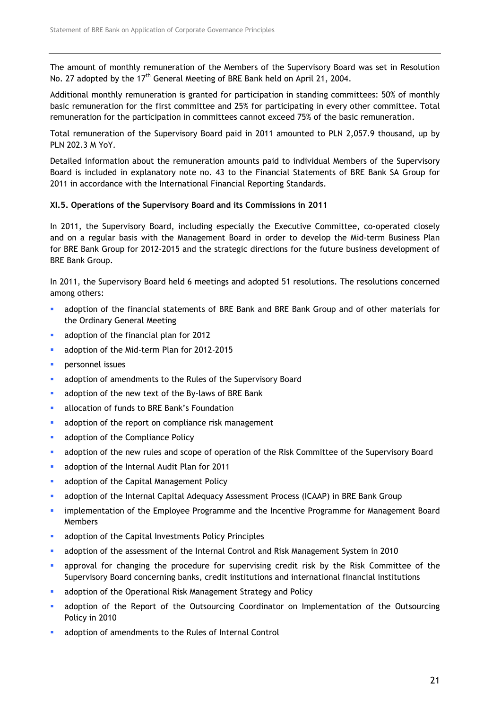The amount of monthly remuneration of the Members of the Supervisory Board was set in Resolution No. 27 adopted by the 17<sup>th</sup> General Meeting of BRE Bank held on April 21, 2004.

Additional monthly remuneration is granted for participation in standing committees: 50% of monthly basic remuneration for the first committee and 25% for participating in every other committee. Total remuneration for the participation in committees cannot exceed 75% of the basic remuneration.

Total remuneration of the Supervisory Board paid in 2011 amounted to PLN 2,057.9 thousand, up by PLN 202.3 M YoY.

Detailed information about the remuneration amounts paid to individual Members of the Supervisory Board is included in explanatory note no. 43 to the Financial Statements of BRE Bank SA Group for 2011 in accordance with the International Financial Reporting Standards.

## XI.5. Operations of the Supervisory Board and its Commissions in 2011

In 2011, the Supervisory Board, including especially the Executive Committee, co-operated closely and on a regular basis with the Management Board in order to develop the Mid-term Business Plan for BRE Bank Group for 2012-2015 and the strategic directions for the future business development of BRE Bank Group.

In 2011, the Supervisory Board held 6 meetings and adopted 51 resolutions. The resolutions concerned among others:

- adoption of the financial statements of BRE Bank and BRE Bank Group and of other materials for the Ordinary General Meeting
- **adoption of the financial plan for 2012**
- adoption of the Mid-term Plan for 2012-2015
- **Preference** issues
- adoption of amendments to the Rules of the Supervisory Board
- adoption of the new text of the By-laws of BRE Bank
- **allocation of funds to BRE Bank's Foundation**
- adoption of the report on compliance risk management
- **adoption of the Compliance Policy**
- adoption of the new rules and scope of operation of the Risk Committee of the Supervisory Board
- **adoption of the Internal Audit Plan for 2011**
- **adoption of the Capital Management Policy**
- adoption of the Internal Capital Adequacy Assessment Process (ICAAP) in BRE Bank Group
- implementation of the Employee Programme and the Incentive Programme for Management Board Members
- **adoption of the Capital Investments Policy Principles**
- adoption of the assessment of the Internal Control and Risk Management System in 2010
- approval for changing the procedure for supervising credit risk by the Risk Committee of the Supervisory Board concerning banks, credit institutions and international financial institutions
- **adoption of the Operational Risk Management Strategy and Policy**
- adoption of the Report of the Outsourcing Coordinator on Implementation of the Outsourcing Policy in 2010
- adoption of amendments to the Rules of Internal Control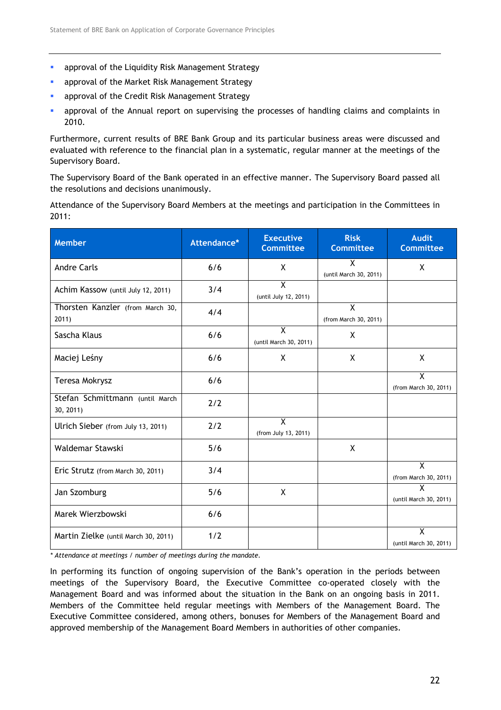- **•** approval of the Liquidity Risk Management Strategy
- **approval of the Market Risk Management Strategy**
- **approval of the Credit Risk Management Strategy**
- approval of the Annual report on supervising the processes of handling claims and complaints in 2010.

Furthermore, current results of BRE Bank Group and its particular business areas were discussed and evaluated with reference to the financial plan in a systematic, regular manner at the meetings of the Supervisory Board.

The Supervisory Board of the Bank operated in an effective manner. The Supervisory Board passed all the resolutions and decisions unanimously.

Attendance of the Supervisory Board Members at the meetings and participation in the Committees in 2011:

| <b>Member</b>                                | Attendance* | <b>Executive</b><br><b>Committee</b>              | <b>Risk</b><br><b>Committee</b> | <b>Audit</b><br><b>Committee</b>                  |
|----------------------------------------------|-------------|---------------------------------------------------|---------------------------------|---------------------------------------------------|
| <b>Andre Carls</b>                           | 6/6         | X                                                 | χ<br>(until March 30, 2011)     | X                                                 |
| Achim Kassow (until July 12, 2011)           | 3/4         | X<br>(until July 12, 2011)                        |                                 |                                                   |
| Thorsten Kanzler (from March 30,<br>2011)    | 4/4         |                                                   | X<br>(from March 30, 2011)      |                                                   |
| Sascha Klaus                                 | 6/6         | $\overline{\mathsf{x}}$<br>(until March 30, 2011) | X                               |                                                   |
| Maciej Leśny                                 | 6/6         | X                                                 | X                               | X                                                 |
| Teresa Mokrysz                               | 6/6         |                                                   |                                 | $\overline{X}$<br>(from March 30, 2011)           |
| Stefan Schmittmann (until March<br>30, 2011) | 2/2         |                                                   |                                 |                                                   |
| Ulrich Sieber (from July 13, 2011)           | 2/2         | $\overline{X}$<br>(from July 13, 2011)            |                                 |                                                   |
| Waldemar Stawski                             | 5/6         |                                                   | X                               |                                                   |
| Eric Strutz (from March 30, 2011)            | 3/4         |                                                   |                                 | $\mathsf{X}$<br>(from March 30, 2011)             |
| Jan Szomburg                                 | 5/6         | X                                                 |                                 | $\overline{\mathsf{x}}$<br>(until March 30, 2011) |
| Marek Wierzbowski                            | 6/6         |                                                   |                                 |                                                   |
| Martin Zielke (until March 30, 2011)         | 1/2         |                                                   |                                 | $\overline{\mathsf{X}}$<br>(until March 30, 2011) |

\* Attendance at meetings / number of meetings during the mandate.

In performing its function of ongoing supervision of the Bank's operation in the periods between meetings of the Supervisory Board, the Executive Committee co-operated closely with the Management Board and was informed about the situation in the Bank on an ongoing basis in 2011. Members of the Committee held regular meetings with Members of the Management Board. The Executive Committee considered, among others, bonuses for Members of the Management Board and approved membership of the Management Board Members in authorities of other companies.